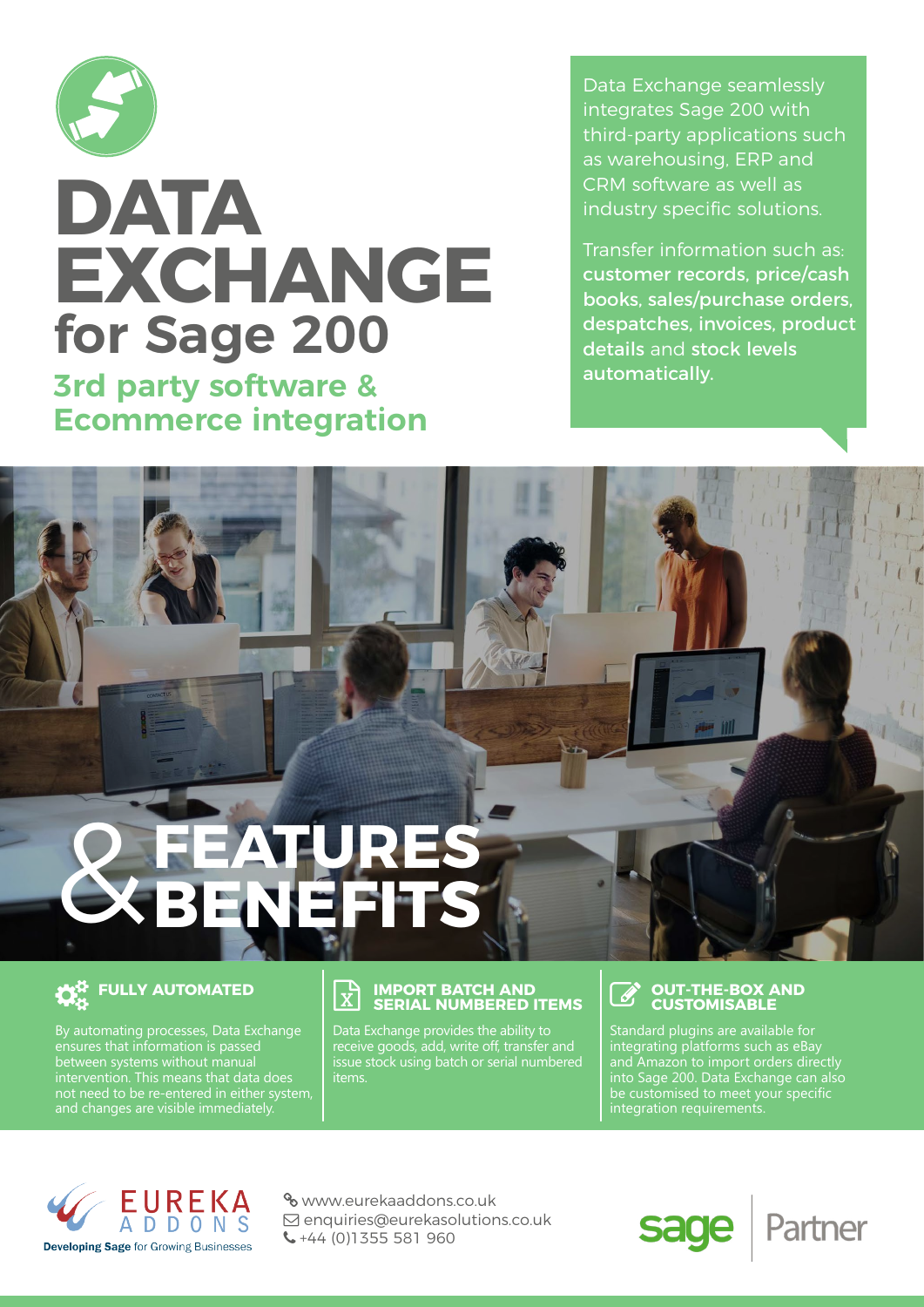

**3rd party software & Ecommerce integration**

Data Exchange seamlessly integrates Sage 200 with third-party applications such as warehousing, ERP and CRM software as well as industry specific solutions.

Transfer information such as: customer records, price/cash books, sales/purchase orders, despatches, invoices, product details and stock levels automatically.

## **JRES BENEFITS** &

### **THE FULLY AUTOMATED**

By automating processes, Data Exchange ensures that information is passed not need to be re-entered in either system,

#### **IMPORT BATCH AND**<br> **IX** SEDIAL NUMBEDED **SERIAL NUMBERED ITEMS**

Data Exchange provides the ability to receive goods, add, write off, transfer and issue stock using batch or serial numbered items.

#### **OUT-THE-BOX AND CUSTOMISABLE**

sage

integrating platforms such as eBay and Amazon to import orders directly into Sage 200. Data Exchange can also be customised to meet your specific integration requirements.

Partner



 www.eurekaaddons.co.uk  $\boxdot$  enquiries@eurekasolutions.co.uk  $\leftarrow$  +44 (0)1355 581 960